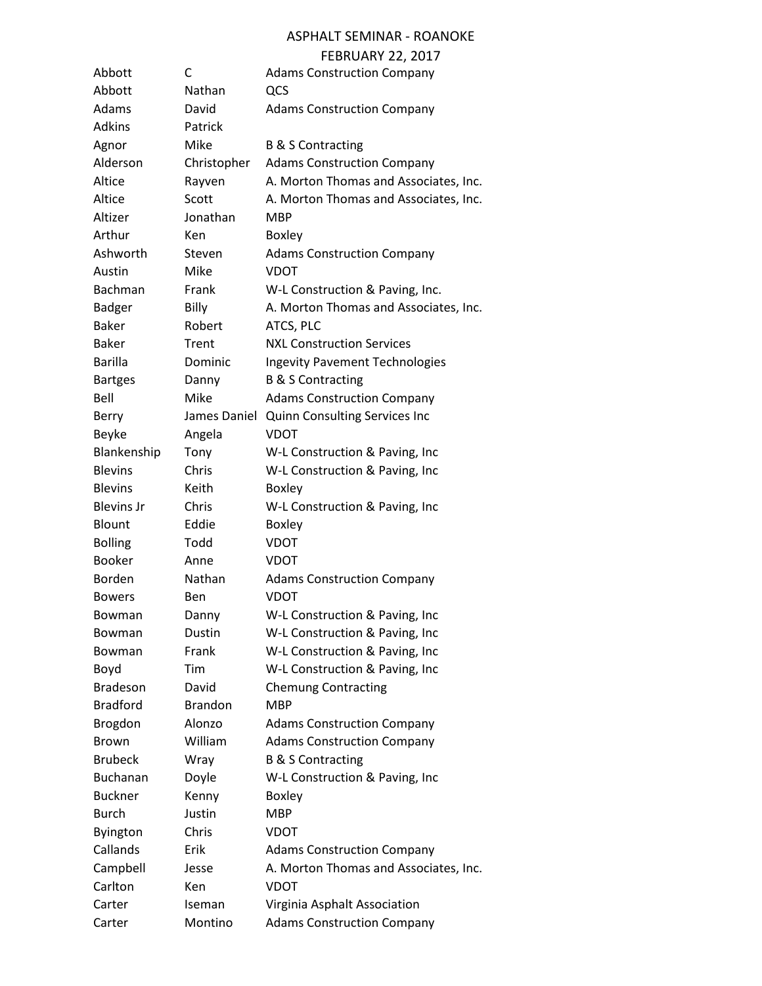#### ASPHALT SEMINAR - ROANOKE

#### FEBRUARY 22, 2017

| Abbott            | С              | <b>Adams Construction Company</b>     |
|-------------------|----------------|---------------------------------------|
| Abbott            | Nathan         | QCS                                   |
| Adams             | David          | <b>Adams Construction Company</b>     |
| <b>Adkins</b>     | Patrick        |                                       |
| Agnor             | Mike           | <b>B &amp; S Contracting</b>          |
| Alderson          | Christopher    | <b>Adams Construction Company</b>     |
| Altice            | Rayven         | A. Morton Thomas and Associates, Inc. |
| Altice            | Scott          | A. Morton Thomas and Associates, Inc. |
| Altizer           | Jonathan       | <b>MBP</b>                            |
| Arthur            | Ken            | <b>Boxley</b>                         |
| Ashworth          | Steven         | <b>Adams Construction Company</b>     |
| Austin            | Mike           | <b>VDOT</b>                           |
| Bachman           | Frank          | W-L Construction & Paving, Inc.       |
| Badger            | Billy          | A. Morton Thomas and Associates, Inc. |
| <b>Baker</b>      | Robert         | ATCS, PLC                             |
| <b>Baker</b>      | Trent          | <b>NXL Construction Services</b>      |
| <b>Barilla</b>    | Dominic        | <b>Ingevity Pavement Technologies</b> |
| <b>Bartges</b>    | Danny          | <b>B &amp; S Contracting</b>          |
| Bell              | Mike           | <b>Adams Construction Company</b>     |
| Berry             | James Daniel   | Quinn Consulting Services Inc         |
| Beyke             | Angela         | <b>VDOT</b>                           |
| Blankenship       | Tony           | W-L Construction & Paving, Inc        |
| <b>Blevins</b>    | Chris          | W-L Construction & Paving, Inc        |
| <b>Blevins</b>    | Keith          | <b>Boxley</b>                         |
| <b>Blevins Jr</b> | Chris          | W-L Construction & Paving, Inc        |
| Blount            | Eddie          | <b>Boxley</b>                         |
| <b>Bolling</b>    | Todd           | <b>VDOT</b>                           |
| <b>Booker</b>     | Anne           | VDOT                                  |
| <b>Borden</b>     | Nathan         | <b>Adams Construction Company</b>     |
| <b>Bowers</b>     | Ben            | <b>VDOT</b>                           |
| Bowman            | Danny          | W-L Construction & Paving, Inc        |
| Bowman            | Dustin         | W-L Construction & Paving, Inc        |
| Bowman            | Frank          | W-L Construction & Paving, Inc        |
| Boyd              | Tim            | W-L Construction & Paving, Inc        |
| <b>Bradeson</b>   | David          | <b>Chemung Contracting</b>            |
| <b>Bradford</b>   | <b>Brandon</b> | <b>MBP</b>                            |
| Brogdon           | Alonzo         | <b>Adams Construction Company</b>     |
| <b>Brown</b>      | William        | <b>Adams Construction Company</b>     |
| <b>Brubeck</b>    | Wray           | <b>B &amp; S Contracting</b>          |
| <b>Buchanan</b>   | Doyle          | W-L Construction & Paving, Inc        |
| <b>Buckner</b>    | Kenny          | <b>Boxley</b>                         |
| <b>Burch</b>      | Justin         | <b>MBP</b>                            |
| <b>Byington</b>   | Chris          | <b>VDOT</b>                           |
| Callands          | Erik           | <b>Adams Construction Company</b>     |
| Campbell          | Jesse          | A. Morton Thomas and Associates, Inc. |
| Carlton           | Ken            | <b>VDOT</b>                           |
| Carter            | Iseman         | Virginia Asphalt Association          |
| Carter            | Montino        | <b>Adams Construction Company</b>     |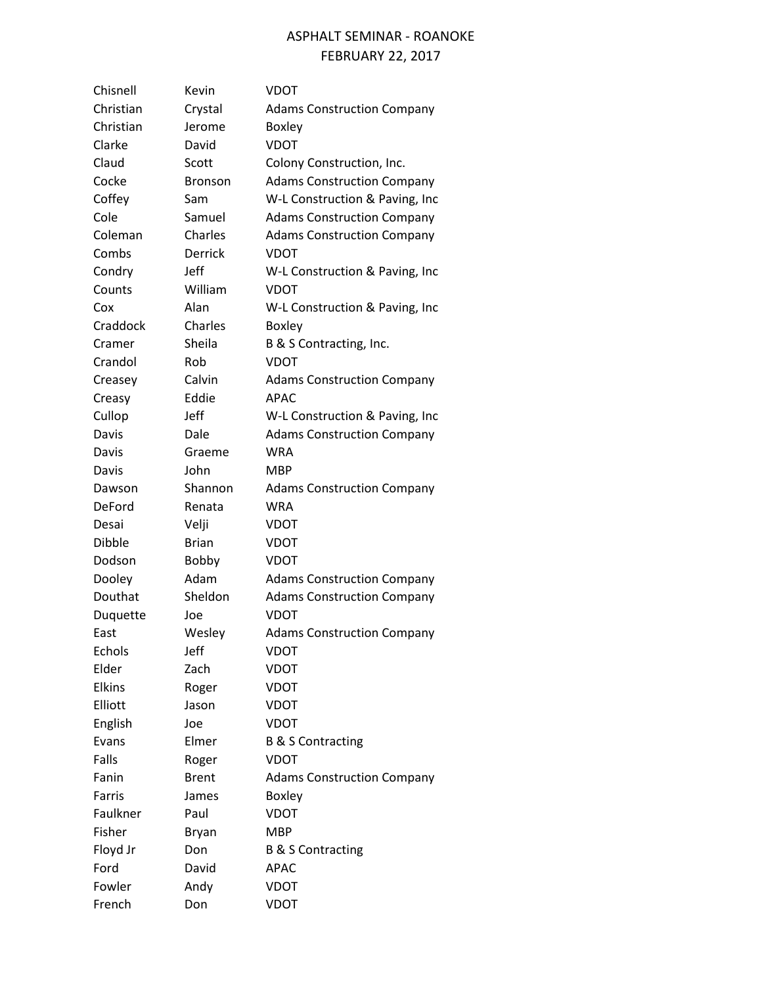| Chisnell      | Kevin          | VDOT                              |
|---------------|----------------|-----------------------------------|
| Christian     | Crystal        | <b>Adams Construction Company</b> |
| Christian     | Jerome         | <b>Boxley</b>                     |
| Clarke        | David          | <b>VDOT</b>                       |
| Claud         | Scott          | Colony Construction, Inc.         |
| Cocke         | Bronson        | <b>Adams Construction Company</b> |
| Coffey        | Sam            | W-L Construction & Paving, Inc    |
| Cole          | Samuel         | <b>Adams Construction Company</b> |
| Coleman       | Charles        | <b>Adams Construction Company</b> |
| Combs         | <b>Derrick</b> | <b>VDOT</b>                       |
| Condry        | Jeff           | W-L Construction & Paving, Inc    |
| Counts        | William        | <b>VDOT</b>                       |
| Cox           | Alan           | W-L Construction & Paving, Inc    |
| Craddock      | Charles        | <b>Boxley</b>                     |
| Cramer        | Sheila         | B & S Contracting, Inc.           |
| Crandol       | Rob            | <b>VDOT</b>                       |
| Creasey       | Calvin         | <b>Adams Construction Company</b> |
| Creasy        | Eddie          | <b>APAC</b>                       |
| Cullop        | Jeff           | W-L Construction & Paving, Inc    |
| Davis         | Dale           | <b>Adams Construction Company</b> |
| Davis         | Graeme         | <b>WRA</b>                        |
| Davis         | John           | <b>MBP</b>                        |
| Dawson        | Shannon        | <b>Adams Construction Company</b> |
| DeFord        | Renata         | <b>WRA</b>                        |
| Desai         | Velji          | VDOT                              |
| Dibble        | <b>Brian</b>   | <b>VDOT</b>                       |
| Dodson        | <b>Bobby</b>   | <b>VDOT</b>                       |
| Dooley        | Adam           | <b>Adams Construction Company</b> |
| Douthat       | Sheldon        | <b>Adams Construction Company</b> |
| Duquette      | Joe            | <b>VDOT</b>                       |
| East          | Wesley         | <b>Adams Construction Company</b> |
| Echols        | Jeff           | VDOT                              |
| Elder         | Zach           | VDOT                              |
| <b>Elkins</b> | Roger          | VDOT                              |
| Elliott       | Jason          | VDOT                              |
| English       | Joe            | <b>VDOT</b>                       |
| Evans         | Elmer          | <b>B &amp; S Contracting</b>      |
| Falls         | Roger          | <b>VDOT</b>                       |
| Fanin         | <b>Brent</b>   | <b>Adams Construction Company</b> |
| Farris        | James          | <b>Boxley</b>                     |
| Faulkner      | Paul           | VDOT                              |
| Fisher        | Bryan          | MBP                               |
| Floyd Jr      | Don            | <b>B &amp; S Contracting</b>      |
| Ford          | David          | APAC                              |
| Fowler        | Andy           | <b>VDOT</b>                       |
| French        | Don            | VDOT                              |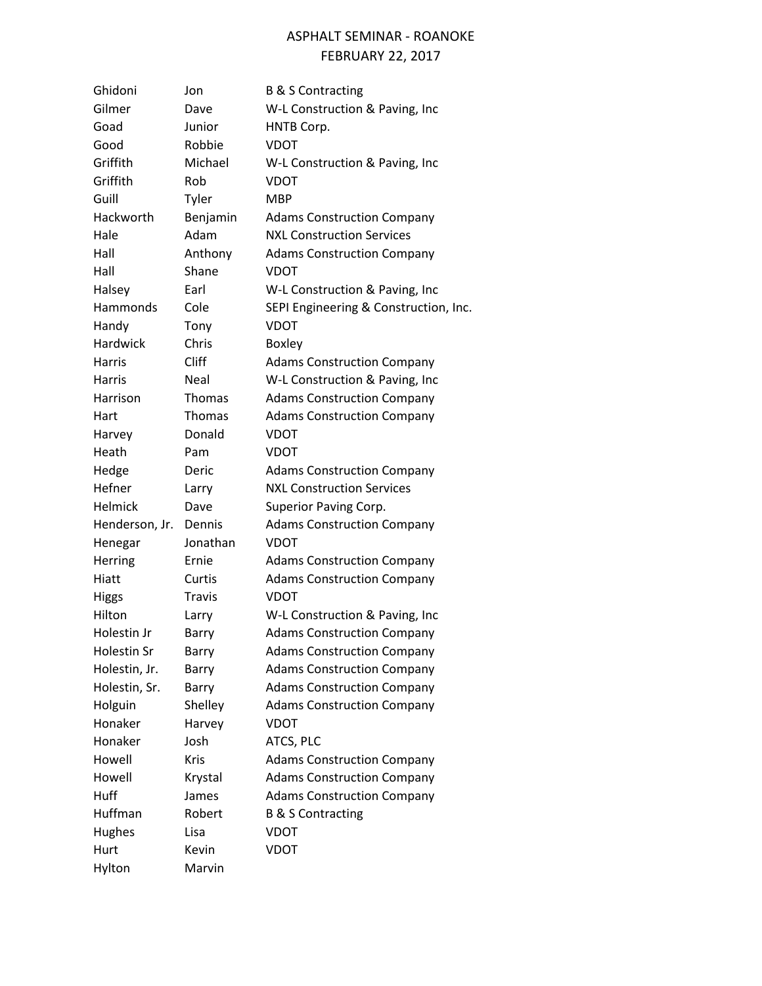| Ghidoni         | Jon           | <b>B &amp; S Contracting</b>          |
|-----------------|---------------|---------------------------------------|
| Gilmer          | Dave          | W-L Construction & Paving, Inc        |
| Goad            | Junior        | HNTB Corp.                            |
| Good            | Robbie        | <b>VDOT</b>                           |
| Griffith        | Michael       | W-L Construction & Paving, Inc        |
| Griffith        | Rob           | VDOT                                  |
| Guill           | Tyler         | <b>MBP</b>                            |
| Hackworth       | Benjamin      | <b>Adams Construction Company</b>     |
| Hale            | Adam          | <b>NXL Construction Services</b>      |
| Hall            | Anthony       | <b>Adams Construction Company</b>     |
| Hall            | Shane         | <b>VDOT</b>                           |
| Halsey          | Earl          | W-L Construction & Paving, Inc        |
| Hammonds        | Cole          | SEPI Engineering & Construction, Inc. |
| Handy           | Tony          | <b>VDOT</b>                           |
| <b>Hardwick</b> | Chris         | <b>Boxley</b>                         |
| <b>Harris</b>   | Cliff         | <b>Adams Construction Company</b>     |
| <b>Harris</b>   | Neal          | W-L Construction & Paving, Inc        |
| Harrison        | Thomas        | <b>Adams Construction Company</b>     |
| Hart            | <b>Thomas</b> | <b>Adams Construction Company</b>     |
| Harvey          | Donald        | <b>VDOT</b>                           |
| Heath           | Pam           | <b>VDOT</b>                           |
| Hedge           | Deric         | <b>Adams Construction Company</b>     |
| Hefner          | Larry         | <b>NXL Construction Services</b>      |
| <b>Helmick</b>  | Dave          | Superior Paving Corp.                 |
| Henderson, Jr.  | Dennis        | <b>Adams Construction Company</b>     |
| Henegar         | Jonathan      | <b>VDOT</b>                           |
| <b>Herring</b>  | Ernie         | <b>Adams Construction Company</b>     |
| Hiatt           | Curtis        | <b>Adams Construction Company</b>     |
| Higgs           | <b>Travis</b> | <b>VDOT</b>                           |
| Hilton          | Larry         | W-L Construction & Paving, Inc        |
| Holestin Jr     | Barry         | <b>Adams Construction Company</b>     |
| Holestin Sr     | Barry         | <b>Adams Construction Company</b>     |
| Holestin, Jr.   | Barry         | <b>Adams Construction Company</b>     |
| Holestin, Sr.   | Barry         | <b>Adams Construction Company</b>     |
| Holguin         | Shelley       | <b>Adams Construction Company</b>     |
| Honaker         | Harvey        | <b>VDOT</b>                           |
| Honaker         | Josh          | ATCS, PLC                             |
| Howell          | Kris          | <b>Adams Construction Company</b>     |
| Howell          | Krystal       | <b>Adams Construction Company</b>     |
| Huff            | James         | <b>Adams Construction Company</b>     |
| Huffman         | Robert        | <b>B &amp; S Contracting</b>          |
| <b>Hughes</b>   | Lisa          | <b>VDOT</b>                           |
| Hurt            | Kevin         | <b>VDOT</b>                           |
| Hylton          | Marvin        |                                       |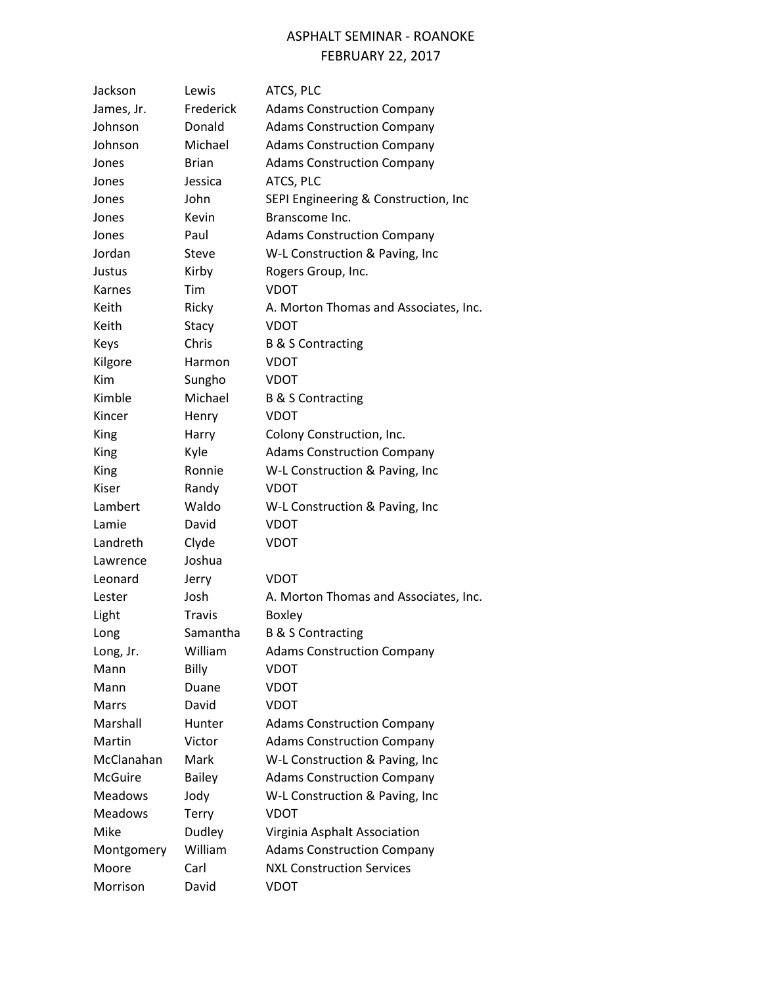## ASPHALT SEMINAR - ROANOKE

#### FEBRUARY 22, 2017

| Jackson        | Lewis         | ATCS, PLC                             |
|----------------|---------------|---------------------------------------|
| James, Jr.     | Frederick     | <b>Adams Construction Company</b>     |
| Johnson        | Donald        | <b>Adams Construction Company</b>     |
| Johnson        | Michael       | <b>Adams Construction Company</b>     |
| Jones          | <b>Brian</b>  | <b>Adams Construction Company</b>     |
| Jones          | Jessica       | ATCS, PLC                             |
| Jones          | John          | SEPI Engineering & Construction, Inc  |
| Jones          | Kevin         | Branscome Inc.                        |
| Jones          | Paul          | <b>Adams Construction Company</b>     |
| Jordan         | Steve         | W-L Construction & Paving, Inc        |
| Justus         | Kirby         | Rogers Group, Inc.                    |
| Karnes         | Tim           | <b>VDOT</b>                           |
| Keith          | Ricky         | A. Morton Thomas and Associates, Inc. |
| Keith          | Stacy         | <b>VDOT</b>                           |
| Keys           | Chris         | <b>B &amp; S Contracting</b>          |
| Kilgore        | Harmon        | <b>VDOT</b>                           |
| <b>Kim</b>     | Sungho        | VDOT                                  |
| Kimble         | Michael       | <b>B &amp; S Contracting</b>          |
| Kincer         | Henry         | <b>VDOT</b>                           |
| King           | Harry         | Colony Construction, Inc.             |
| King           | Kyle          | <b>Adams Construction Company</b>     |
| King           | Ronnie        | W-L Construction & Paving, Inc        |
| Kiser          | Randy         | <b>VDOT</b>                           |
| Lambert        | Waldo         | W-L Construction & Paving, Inc        |
| Lamie          | David         | VDOT                                  |
| Landreth       | Clyde         | VDOT                                  |
| Lawrence       | Joshua        |                                       |
| Leonard        | Jerry         | VDOT                                  |
| Lester         | Josh          | A. Morton Thomas and Associates, Inc. |
| Light          | <b>Travis</b> | <b>Boxley</b>                         |
| Long           | Samantha      | <b>B &amp; S Contracting</b>          |
| Long, Jr.      | William       | <b>Adams Construction Company</b>     |
| Mann           | Billy         | <b>VDOT</b>                           |
| Mann           | Duane         | VDOT                                  |
| <b>Marrs</b>   | David         | <b>VDOT</b>                           |
| Marshall       | Hunter        | <b>Adams Construction Company</b>     |
| Martin         | Victor        | <b>Adams Construction Company</b>     |
| McClanahan     | Mark          | W-L Construction & Paving, Inc        |
| <b>McGuire</b> | <b>Bailey</b> | <b>Adams Construction Company</b>     |
| <b>Meadows</b> | Jody          | W-L Construction & Paving, Inc        |
| <b>Meadows</b> | <b>Terry</b>  | <b>VDOT</b>                           |
| Mike           | Dudley        | Virginia Asphalt Association          |
| Montgomery     | William       | <b>Adams Construction Company</b>     |
| Moore          | Carl          | <b>NXL Construction Services</b>      |
| Morrison       | David         | <b>VDOT</b>                           |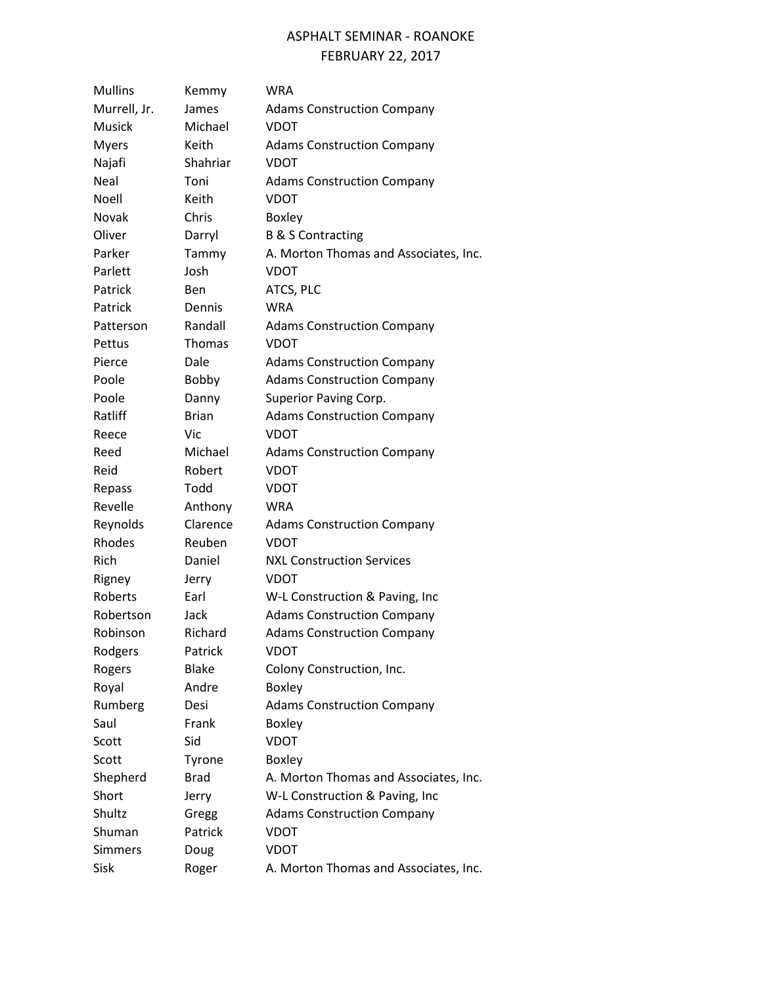# ASPHALT SEMINAR - ROANOKE

|                |              | <b>FEBRUARY 22, 2017</b>              |
|----------------|--------------|---------------------------------------|
| <b>Mullins</b> | Kemmy        | WRA                                   |
| Murrell, Jr.   | James        | <b>Adams Construction Company</b>     |
| Musick         | Michael      | <b>VDOT</b>                           |
| <b>Myers</b>   | Keith        | <b>Adams Construction Company</b>     |
| Najafi         | Shahriar     | VDOT                                  |
| Neal           | Toni         | <b>Adams Construction Company</b>     |
| Noell          | Keith        | VDOT                                  |
| Novak          | Chris        | <b>Boxley</b>                         |
| Oliver         | Darryl       | <b>B &amp; S Contracting</b>          |
| Parker         | Tammy        | A. Morton Thomas and Associates, Inc. |
| Parlett        | Josh         | VDOT                                  |
| Patrick        | <b>Ben</b>   | ATCS, PLC                             |
| Patrick        | Dennis       | <b>WRA</b>                            |
| Patterson      | Randall      | <b>Adams Construction Company</b>     |
| Pettus         | Thomas       | <b>VDOT</b>                           |
| Pierce         | Dale         | <b>Adams Construction Company</b>     |
| Poole          | Bobby        | <b>Adams Construction Company</b>     |
| Poole          | Danny        | Superior Paving Corp.                 |
| Ratliff        | <b>Brian</b> | <b>Adams Construction Company</b>     |
| Reece          | Vic.         | <b>VDOT</b>                           |
| Reed           | Michael      | <b>Adams Construction Company</b>     |
| Reid           | Robert       | <b>VDOT</b>                           |
| Repass         | Todd         | VDOT                                  |
| Revelle        | Anthony      | <b>WRA</b>                            |
| Reynolds       | Clarence     | <b>Adams Construction Company</b>     |
| Rhodes         | Reuben       | VDOT                                  |
| Rich           | Daniel       | <b>NXL Construction Services</b>      |
| Rigney         | Jerry        | VDOT                                  |
| Roberts        | Earl         | W-L Construction & Paving, Inc        |
| Robertson      | Jack         | <b>Adams Construction Company</b>     |
| Robinson       | Richard      | <b>Adams Construction Company</b>     |
| Rodgers        | Patrick      | VDOT                                  |
| Rogers         | <b>Blake</b> | Colony Construction, Inc.             |
| Royal          | Andre        | <b>Boxley</b>                         |

Rumberg Desi Adams Construction Company

Short Jerry W-L Construction & Paving, Inc Shultz Gregg Adams Construction Company

Shepherd Brad A. Morton Thomas and Associates, Inc.

Sisk Roger A. Morton Thomas and Associates, Inc.

Saul Frank Boxley Scott Sid VDOT Scott Tyrone Boxley

Shuman Patrick VDOT Simmers Doug VDOT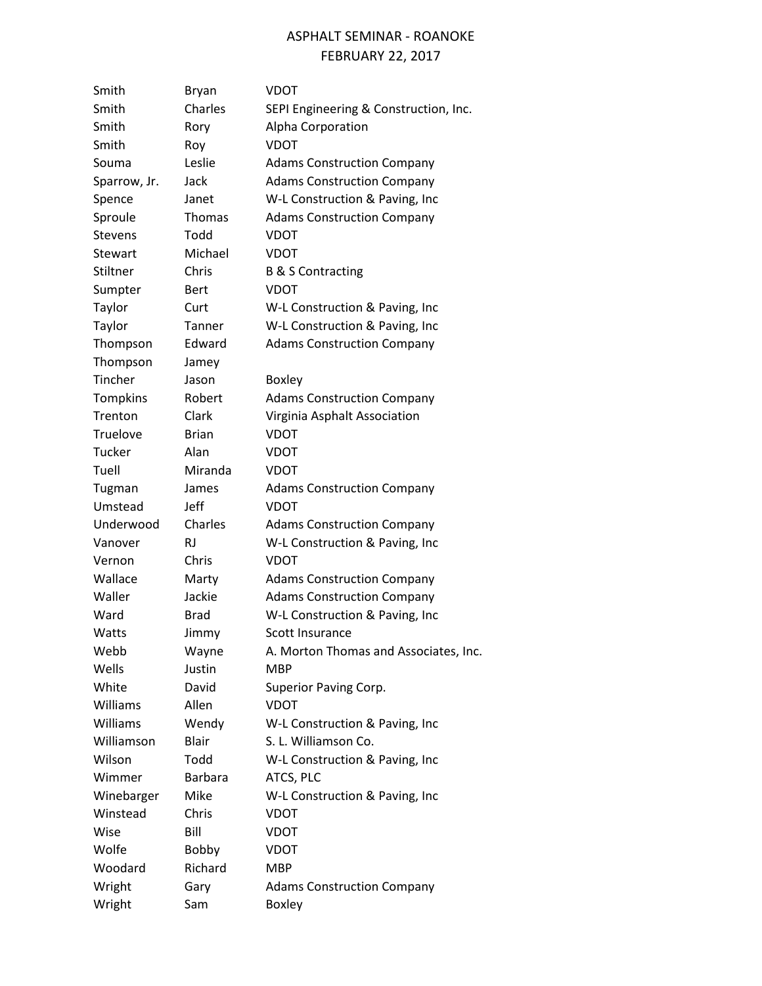| Smith           | <b>Bryan</b>   | VDOT                                  |
|-----------------|----------------|---------------------------------------|
| Smith           | Charles        | SEPI Engineering & Construction, Inc. |
| Smith           | Rory           | Alpha Corporation                     |
| Smith           | Roy            | <b>VDOT</b>                           |
| Souma           | Leslie         | <b>Adams Construction Company</b>     |
| Sparrow, Jr.    | Jack           | <b>Adams Construction Company</b>     |
| Spence          | Janet          | W-L Construction & Paving, Inc        |
| Sproule         | <b>Thomas</b>  | <b>Adams Construction Company</b>     |
| <b>Stevens</b>  | Todd           | <b>VDOT</b>                           |
| Stewart         | Michael        | <b>VDOT</b>                           |
| Stiltner        | Chris          | <b>B &amp; S Contracting</b>          |
| Sumpter         | <b>Bert</b>    | <b>VDOT</b>                           |
| Taylor          | Curt           | W-L Construction & Paving, Inc        |
| Taylor          | Tanner         | W-L Construction & Paving, Inc        |
| Thompson        | Edward         | <b>Adams Construction Company</b>     |
| Thompson        | Jamey          |                                       |
| Tincher         | Jason          | <b>Boxley</b>                         |
| <b>Tompkins</b> | Robert         | <b>Adams Construction Company</b>     |
| Trenton         | Clark          | Virginia Asphalt Association          |
| Truelove        | Brian          | <b>VDOT</b>                           |
| <b>Tucker</b>   | Alan           | <b>VDOT</b>                           |
| Tuell           | Miranda        | VDOT                                  |
| Tugman          | James          | <b>Adams Construction Company</b>     |
| Umstead         | Jeff           | <b>VDOT</b>                           |
| Underwood       | Charles        | <b>Adams Construction Company</b>     |
| Vanover         | <b>RJ</b>      | W-L Construction & Paving, Inc        |
| Vernon          | Chris          | <b>VDOT</b>                           |
| Wallace         | Marty          | <b>Adams Construction Company</b>     |
| Waller          | Jackie         | <b>Adams Construction Company</b>     |
| Ward            | <b>Brad</b>    | W-L Construction & Paving, Inc        |
| Watts           | Jimmy          | Scott Insurance                       |
| Webb            | Wayne          | A. Morton Thomas and Associates, Inc. |
| Wells           | Justin         | <b>MBP</b>                            |
| White           | David          | Superior Paving Corp.                 |
| Williams        | Allen          | <b>VDOT</b>                           |
| Williams        | Wendy          | W-L Construction & Paving, Inc        |
| Williamson      | <b>Blair</b>   | S. L. Williamson Co.                  |
| Wilson          | Todd           | W-L Construction & Paving, Inc        |
| Wimmer          | <b>Barbara</b> | ATCS, PLC                             |
| Winebarger      | Mike           | W-L Construction & Paving, Inc        |
| Winstead        | Chris          | <b>VDOT</b>                           |
| Wise            | Bill           | VDOT                                  |
| Wolfe           | <b>Bobby</b>   | VDOT                                  |
| Woodard         | Richard        | <b>MBP</b>                            |
| Wright          | Gary           | <b>Adams Construction Company</b>     |
| Wright          | Sam            | <b>Boxley</b>                         |
|                 |                |                                       |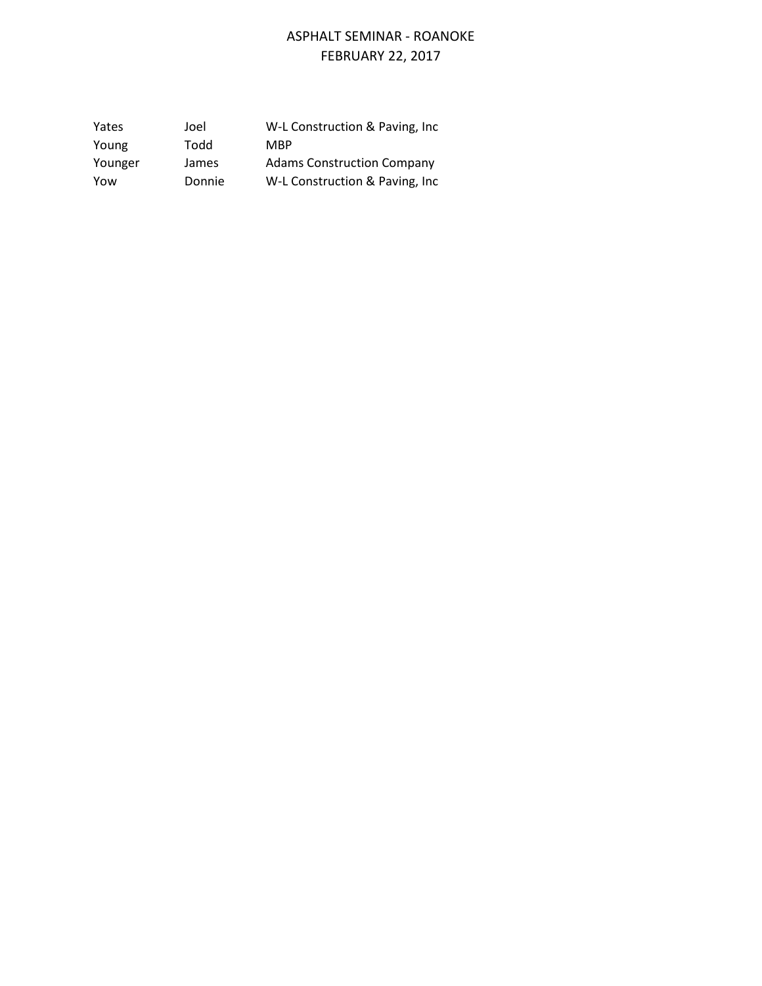| Yates   | Joel   | W-L Construction & Paving, Inc.   |
|---------|--------|-----------------------------------|
| Young   | Todd   | <b>MBP</b>                        |
| Younger | James  | <b>Adams Construction Company</b> |
| Yow     | Donnie | W-L Construction & Paving, Inc.   |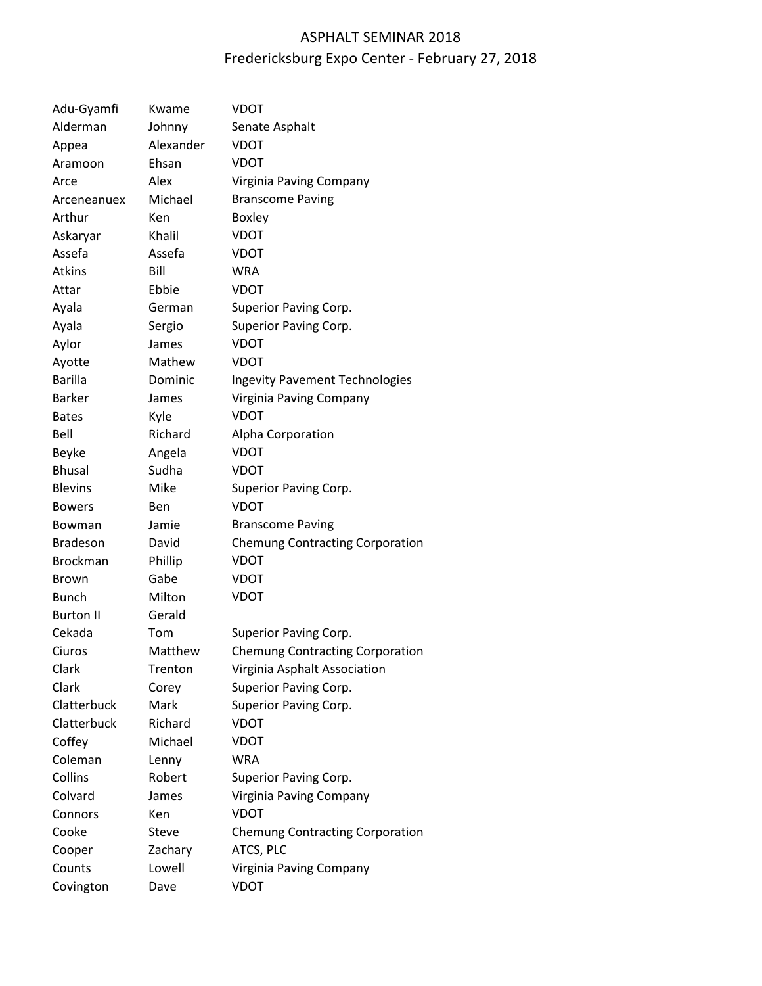# ASPHALT SEMINAR 2018 Fredericksburg Expo Center - February 27, 2018

| Adu-Gyamfi       | Kwame     | VDOT                                   |
|------------------|-----------|----------------------------------------|
| Alderman         | Johnny    | Senate Asphalt                         |
| Appea            | Alexander | VDOT                                   |
| Aramoon          | Ehsan     | <b>VDOT</b>                            |
| Arce             | Alex      | Virginia Paving Company                |
| Arceneanuex      | Michael   | <b>Branscome Paving</b>                |
| Arthur           | Ken       | <b>Boxley</b>                          |
| Askaryar         | Khalil    | <b>VDOT</b>                            |
| Assefa           | Assefa    | <b>VDOT</b>                            |
| <b>Atkins</b>    | Bill      | <b>WRA</b>                             |
| Attar            | Ebbie     | <b>VDOT</b>                            |
| Ayala            | German    | Superior Paving Corp.                  |
| Ayala            | Sergio    | Superior Paving Corp.                  |
| Aylor            | James     | <b>VDOT</b>                            |
| Ayotte           | Mathew    | VDOT                                   |
| <b>Barilla</b>   | Dominic   | <b>Ingevity Pavement Technologies</b>  |
| <b>Barker</b>    | James     | Virginia Paving Company                |
| <b>Bates</b>     | Kyle      | <b>VDOT</b>                            |
| Bell             | Richard   | Alpha Corporation                      |
| Beyke            | Angela    | <b>VDOT</b>                            |
| <b>Bhusal</b>    | Sudha     | <b>VDOT</b>                            |
| <b>Blevins</b>   | Mike      | Superior Paving Corp.                  |
| <b>Bowers</b>    | Ben       | <b>VDOT</b>                            |
| Bowman           | Jamie     | <b>Branscome Paving</b>                |
| <b>Bradeson</b>  | David     | <b>Chemung Contracting Corporation</b> |
| <b>Brockman</b>  | Phillip   | <b>VDOT</b>                            |
| <b>Brown</b>     | Gabe      | VDOT                                   |
| <b>Bunch</b>     | Milton    | <b>VDOT</b>                            |
| <b>Burton II</b> | Gerald    |                                        |
| Cekada           | Tom       | Superior Paving Corp.                  |
| Ciuros           | Matthew   | <b>Chemung Contracting Corporation</b> |
| Clark            | Trenton   | Virginia Asphalt Association           |
| Clark            | Corey     | Superior Paving Corp.                  |
| Clatterbuck      | Mark      | Superior Paving Corp.                  |
| Clatterbuck      | Richard   | <b>VDOT</b>                            |
| Coffey           | Michael   | <b>VDOT</b>                            |
| Coleman          | Lenny     | <b>WRA</b>                             |
| Collins          | Robert    | Superior Paving Corp.                  |
| Colvard          | James     | Virginia Paving Company                |
| Connors          | Ken       | <b>VDOT</b>                            |
| Cooke            | Steve     | <b>Chemung Contracting Corporation</b> |
| Cooper           | Zachary   | ATCS, PLC                              |
| Counts           | Lowell    | Virginia Paving Company                |
| Covington        | Dave      | <b>VDOT</b>                            |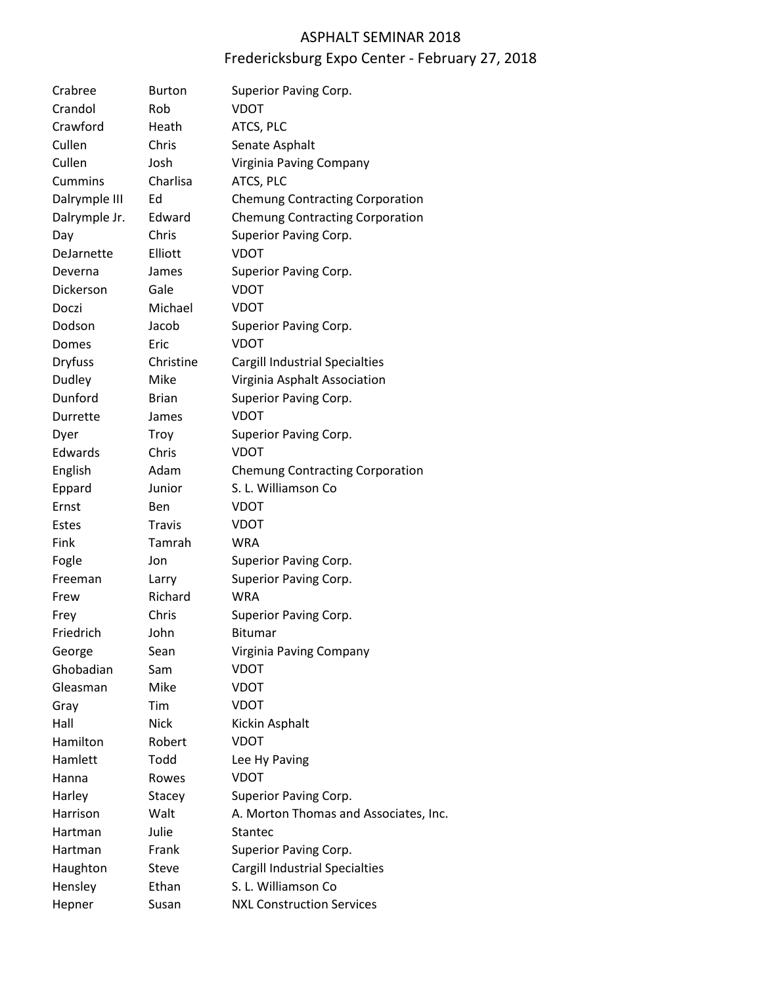#### ASPHALT SEMINAR 2018

# Fredericksburg Expo Center - February 27, 2018

| Crabree        | <b>Burton</b> | Superior Paving Corp.                  |
|----------------|---------------|----------------------------------------|
| Crandol        | Rob           | <b>VDOT</b>                            |
| Crawford       | Heath         | ATCS, PLC                              |
| Cullen         | Chris         | Senate Asphalt                         |
| Cullen         | Josh          | Virginia Paving Company                |
| Cummins        | Charlisa      | ATCS, PLC                              |
| Dalrymple III  | Ed            | <b>Chemung Contracting Corporation</b> |
| Dalrymple Jr.  | Edward        | <b>Chemung Contracting Corporation</b> |
| Day            | Chris         | Superior Paving Corp.                  |
| DeJarnette     | Elliott       | <b>VDOT</b>                            |
| Deverna        | James         | Superior Paving Corp.                  |
| Dickerson      | Gale          | <b>VDOT</b>                            |
| Doczi          | Michael       | <b>VDOT</b>                            |
| Dodson         | Jacob         | Superior Paving Corp.                  |
| Domes          | Eric          | <b>VDOT</b>                            |
| <b>Dryfuss</b> | Christine     | Cargill Industrial Specialties         |
| Dudley         | Mike          | Virginia Asphalt Association           |
| Dunford        | <b>Brian</b>  | Superior Paving Corp.                  |
| Durrette       | James         | <b>VDOT</b>                            |
| Dyer           | Troy          | Superior Paving Corp.                  |
| Edwards        | Chris         | <b>VDOT</b>                            |
| English        | Adam          | <b>Chemung Contracting Corporation</b> |
| Eppard         | Junior        | S. L. Williamson Co                    |
| Ernst          | Ben           | VDOT                                   |
| <b>Estes</b>   | <b>Travis</b> | VDOT                                   |
| Fink           | Tamrah        | <b>WRA</b>                             |
| Fogle          | Jon           | Superior Paving Corp.                  |
| Freeman        | Larry         | Superior Paving Corp.                  |
| Frew           | Richard       | <b>WRA</b>                             |
| Frey           | Chris         | Superior Paving Corp.                  |
| Friedrich      | John          | <b>Bitumar</b>                         |
| George         | Sean          | Virginia Paving Company                |
| Ghobadian      | Sam           | <b>VDOT</b>                            |
| Gleasman       | Mike          | <b>VDOT</b>                            |
| Gray           | Tim           | <b>VDOT</b>                            |
| Hall           | <b>Nick</b>   | Kickin Asphalt                         |
| Hamilton       | Robert        | <b>VDOT</b>                            |
| Hamlett        | Todd          | Lee Hy Paving                          |
| Hanna          | Rowes         | <b>VDOT</b>                            |
| Harley         | Stacey        | Superior Paving Corp.                  |
| Harrison       | Walt          | A. Morton Thomas and Associates, Inc.  |
| Hartman        | Julie         | <b>Stantec</b>                         |
| Hartman        | Frank         | Superior Paving Corp.                  |
| Haughton       | Steve         | Cargill Industrial Specialties         |
| Hensley        | Ethan         | S. L. Williamson Co                    |
| Hepner         | Susan         | <b>NXL Construction Services</b>       |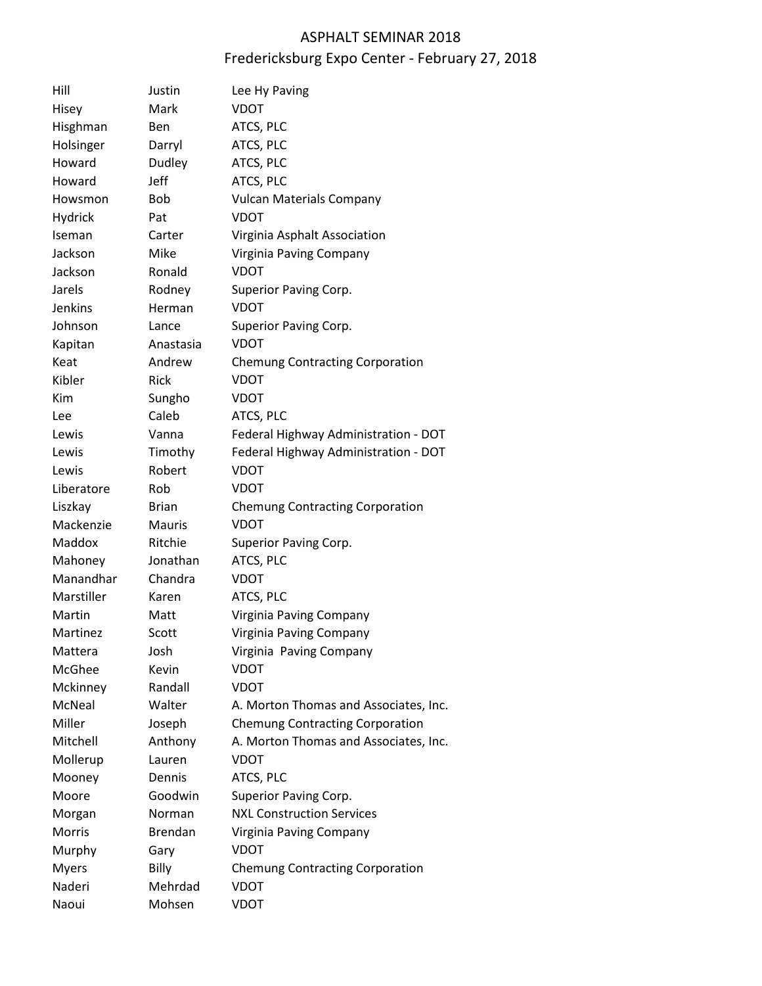# ASPHALT SEMINAR 2018 Fredericksburg Expo Center - February 27, 2018

| Hill          | Justin         | Lee Hy Paving                          |
|---------------|----------------|----------------------------------------|
| Hisey         | Mark           | <b>VDOT</b>                            |
| Hisghman      | Ben            | ATCS, PLC                              |
| Holsinger     | Darryl         | ATCS, PLC                              |
| Howard        | Dudley         | ATCS, PLC                              |
| Howard        | Jeff           | ATCS, PLC                              |
| Howsmon       | <b>Bob</b>     | <b>Vulcan Materials Company</b>        |
| Hydrick       | Pat            | <b>VDOT</b>                            |
| Iseman        | Carter         | Virginia Asphalt Association           |
| Jackson       | Mike           | Virginia Paving Company                |
| Jackson       | Ronald         | <b>VDOT</b>                            |
| Jarels        | Rodney         | Superior Paving Corp.                  |
| Jenkins       | Herman         | <b>VDOT</b>                            |
| Johnson       | Lance          | Superior Paving Corp.                  |
| Kapitan       | Anastasia      | <b>VDOT</b>                            |
| Keat          | Andrew         | <b>Chemung Contracting Corporation</b> |
| Kibler        | Rick           | <b>VDOT</b>                            |
| Kim           | Sungho         | <b>VDOT</b>                            |
| Lee           | Caleb          | ATCS, PLC                              |
| Lewis         | Vanna          | Federal Highway Administration - DOT   |
| Lewis         | Timothy        | Federal Highway Administration - DOT   |
| Lewis         | Robert         | <b>VDOT</b>                            |
| Liberatore    | Rob            | <b>VDOT</b>                            |
| Liszkay       | <b>Brian</b>   | <b>Chemung Contracting Corporation</b> |
| Mackenzie     | <b>Mauris</b>  | <b>VDOT</b>                            |
| Maddox        | Ritchie        | Superior Paving Corp.                  |
| Mahoney       | Jonathan       | ATCS, PLC                              |
| Manandhar     | Chandra        | <b>VDOT</b>                            |
| Marstiller    | Karen          | ATCS, PLC                              |
| Martin        | Matt           | Virginia Paving Company                |
| Martinez      | Scott          | Virginia Paving Company                |
| Mattera       | Josh           | Virginia Paving Company                |
| McGhee        | Kevin          | <b>VDOT</b>                            |
| Mckinney      | Randall        | <b>VDOT</b>                            |
| <b>McNeal</b> | Walter         | A. Morton Thomas and Associates, Inc.  |
| Miller        | Joseph         | <b>Chemung Contracting Corporation</b> |
| Mitchell      | Anthony        | A. Morton Thomas and Associates, Inc.  |
| Mollerup      | Lauren         | VDOT                                   |
| Mooney        | Dennis         | ATCS, PLC                              |
| Moore         | Goodwin        | Superior Paving Corp.                  |
| Morgan        | Norman         | <b>NXL Construction Services</b>       |
| <b>Morris</b> | <b>Brendan</b> | Virginia Paving Company                |
| Murphy        | Gary           | VDOT                                   |
| <b>Myers</b>  | <b>Billy</b>   | <b>Chemung Contracting Corporation</b> |
| Naderi        | Mehrdad        | <b>VDOT</b>                            |
| Naoui         | Mohsen         | <b>VDOT</b>                            |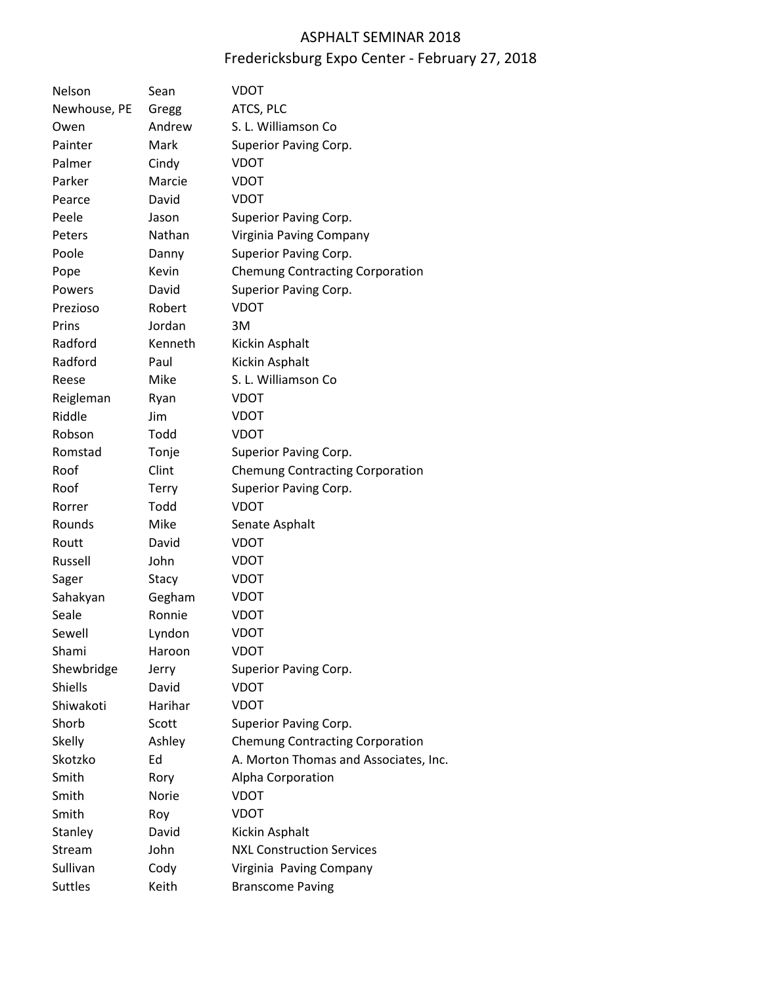# ASPHALT SEMINAR 2018 Fredericksburg Expo Center - February 27, 2018

| Nelson         | Sean    | VDOT                                   |
|----------------|---------|----------------------------------------|
| Newhouse, PE   | Gregg   | ATCS, PLC                              |
| Owen           | Andrew  | S. L. Williamson Co                    |
| Painter        | Mark    | Superior Paving Corp.                  |
| Palmer         | Cindy   | <b>VDOT</b>                            |
| Parker         | Marcie  | <b>VDOT</b>                            |
| Pearce         | David   | VDOT                                   |
| Peele          | Jason   | Superior Paving Corp.                  |
| Peters         | Nathan  | Virginia Paving Company                |
| Poole          | Danny   | Superior Paving Corp.                  |
| Pope           | Kevin   | <b>Chemung Contracting Corporation</b> |
| Powers         | David   | Superior Paving Corp.                  |
| Prezioso       | Robert  | <b>VDOT</b>                            |
| Prins          | Jordan  | 3M                                     |
| Radford        | Kenneth | Kickin Asphalt                         |
| Radford        | Paul    | Kickin Asphalt                         |
| Reese          | Mike    | S. L. Williamson Co                    |
| Reigleman      | Ryan    | <b>VDOT</b>                            |
| Riddle         | Jim     | VDOT                                   |
| Robson         | Todd    | <b>VDOT</b>                            |
| Romstad        | Tonje   | Superior Paving Corp.                  |
| Roof           | Clint   | <b>Chemung Contracting Corporation</b> |
| Roof           | Terry   | Superior Paving Corp.                  |
| Rorrer         | Todd    | <b>VDOT</b>                            |
| Rounds         | Mike    | Senate Asphalt                         |
| Routt          | David   | VDOT                                   |
| Russell        | John    | <b>VDOT</b>                            |
| Sager          | Stacy   | VDOT                                   |
| Sahakyan       | Gegham  | VDOT                                   |
| Seale          | Ronnie  | <b>VDOT</b>                            |
| Sewell         | Lyndon  | <b>VDOT</b>                            |
| Shami          | Haroon  | <b>VDOT</b>                            |
| Shewbridge     | Jerry   | Superior Paving Corp.                  |
| Shiells        | David   | <b>VDOT</b>                            |
| Shiwakoti      | Harihar | <b>VDOT</b>                            |
| Shorb          | Scott   | Superior Paving Corp.                  |
| <b>Skelly</b>  | Ashley  | <b>Chemung Contracting Corporation</b> |
| Skotzko        | Ed      | A. Morton Thomas and Associates, Inc.  |
| Smith          | Rory    | Alpha Corporation                      |
| Smith          | Norie   | <b>VDOT</b>                            |
| Smith          | Roy     | <b>VDOT</b>                            |
| Stanley        | David   | Kickin Asphalt                         |
| Stream         | John    | <b>NXL Construction Services</b>       |
| Sullivan       | Cody    | Virginia Paving Company                |
| <b>Suttles</b> | Keith   | <b>Branscome Paving</b>                |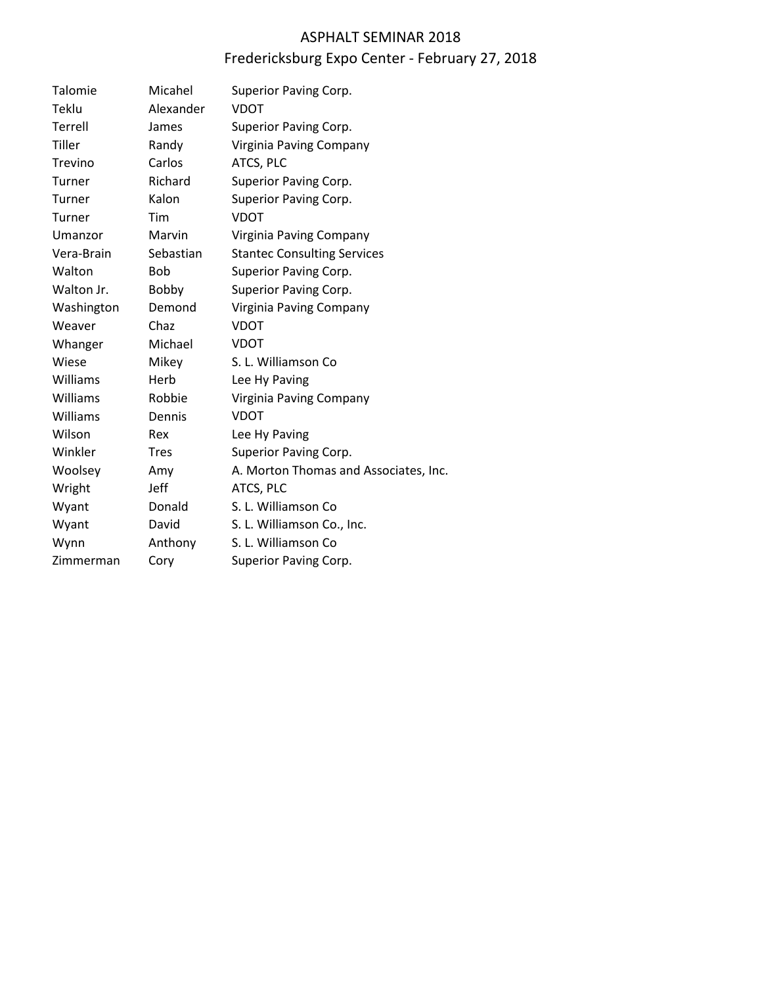## ASPHALT SEMINAR 2018

# Fredericksburg Expo Center - February 27, 2018

| Talomie    | Micahel        | Superior Paving Corp.                 |
|------------|----------------|---------------------------------------|
| Teklu      | Alexander      | <b>VDOT</b>                           |
| Terrell    | James          | Superior Paving Corp.                 |
| Tiller     | Randy          | Virginia Paving Company               |
| Trevino    | Carlos         | ATCS, PLC                             |
| Turner     | <b>Richard</b> | Superior Paving Corp.                 |
| Turner     | Kalon          | Superior Paving Corp.                 |
| Turner     | Tim            | <b>VDOT</b>                           |
| Umanzor    | Marvin         | Virginia Paving Company               |
| Vera-Brain | Sebastian      | <b>Stantec Consulting Services</b>    |
| Walton     | <b>Bob</b>     | Superior Paving Corp.                 |
| Walton Jr. | Bobby          | Superior Paving Corp.                 |
| Washington | Demond         | Virginia Paving Company               |
| Weaver     | Chaz           | <b>VDOT</b>                           |
| Whanger    | Michael        | <b>VDOT</b>                           |
| Wiese      | Mikey          | S. L. Williamson Co.                  |
| Williams   | Herb           | Lee Hy Paving                         |
| Williams   | Robbie         | Virginia Paving Company               |
| Williams   | Dennis         | <b>VDOT</b>                           |
| Wilson     | Rex            | Lee Hy Paving                         |
| Winkler    | <b>Tres</b>    | Superior Paving Corp.                 |
| Woolsey    | Amy            | A. Morton Thomas and Associates, Inc. |
| Wright     | <b>Jeff</b>    | ATCS, PLC                             |
| Wyant      | Donald         | S. L. Williamson Co.                  |
| Wyant      | David          | S. L. Williamson Co., Inc.            |
| Wynn       | Anthony        | S. L. Williamson Co.                  |
| Zimmerman  | Cory           | Superior Paving Corp.                 |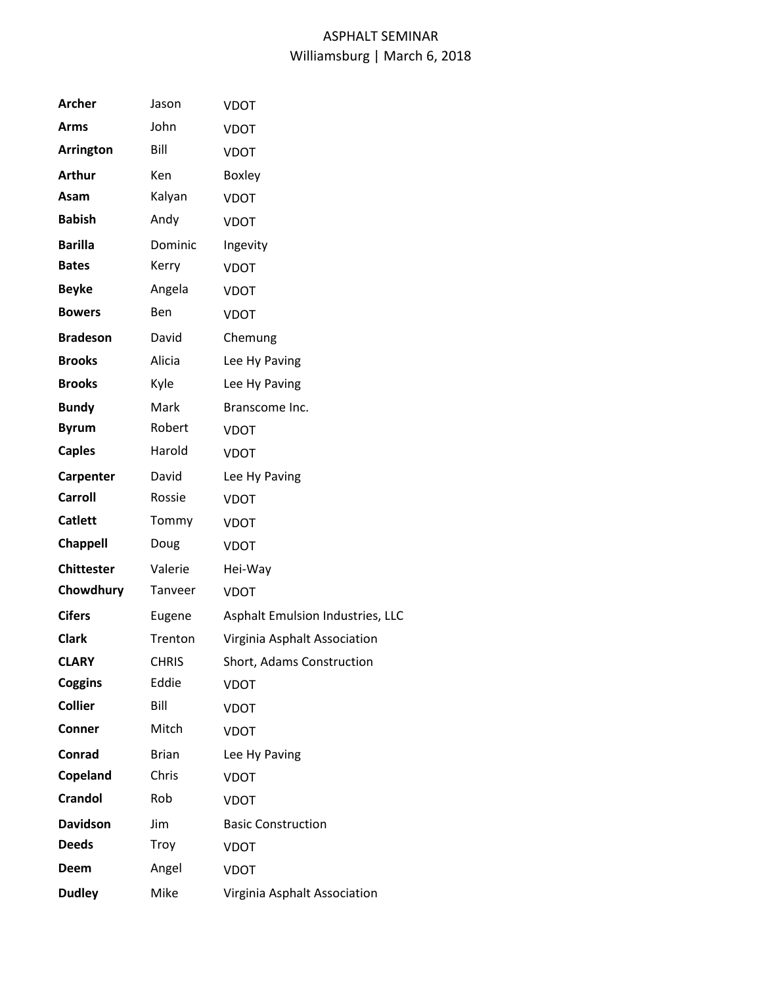| <b>Archer</b>     | Jason        | VDOT                             |
|-------------------|--------------|----------------------------------|
| <b>Arms</b>       | John         | <b>VDOT</b>                      |
| Arrington         | Bill         | <b>VDOT</b>                      |
| <b>Arthur</b>     | Ken          | <b>Boxley</b>                    |
| Asam              | Kalyan       | <b>VDOT</b>                      |
| <b>Babish</b>     | Andy         | <b>VDOT</b>                      |
| <b>Barilla</b>    | Dominic      | Ingevity                         |
| <b>Bates</b>      | Kerry        | <b>VDOT</b>                      |
| <b>Beyke</b>      | Angela       | <b>VDOT</b>                      |
| <b>Bowers</b>     | <b>Ben</b>   | <b>VDOT</b>                      |
| <b>Bradeson</b>   | David        | Chemung                          |
| <b>Brooks</b>     | Alicia       | Lee Hy Paving                    |
| <b>Brooks</b>     | Kyle         | Lee Hy Paving                    |
| <b>Bundy</b>      | Mark         | Branscome Inc.                   |
| <b>Byrum</b>      | Robert       | <b>VDOT</b>                      |
| <b>Caples</b>     | Harold       | <b>VDOT</b>                      |
| Carpenter         | David        | Lee Hy Paving                    |
| <b>Carroll</b>    | Rossie       | <b>VDOT</b>                      |
| <b>Catlett</b>    | Tommy        | <b>VDOT</b>                      |
| <b>Chappell</b>   | Doug         | <b>VDOT</b>                      |
| <b>Chittester</b> | Valerie      | Hei-Way                          |
| Chowdhury         | Tanveer      | <b>VDOT</b>                      |
| <b>Cifers</b>     | Eugene       | Asphalt Emulsion Industries, LLC |
| <b>Clark</b>      | Trenton      | Virginia Asphalt Association     |
| <b>CLARY</b>      | <b>CHRIS</b> | Short, Adams Construction        |
| <b>Coggins</b>    | Eddie        | <b>VDOT</b>                      |
| <b>Collier</b>    | Bill         | <b>VDOT</b>                      |
| <b>Conner</b>     | Mitch        | <b>VDOT</b>                      |
| Conrad            | <b>Brian</b> | Lee Hy Paving                    |
| Copeland          | Chris        | <b>VDOT</b>                      |
| <b>Crandol</b>    | Rob          | <b>VDOT</b>                      |
| <b>Davidson</b>   | Jim          | <b>Basic Construction</b>        |
| <b>Deeds</b>      | Troy         | <b>VDOT</b>                      |
| Deem              | Angel        | <b>VDOT</b>                      |
| <b>Dudley</b>     | Mike         | Virginia Asphalt Association     |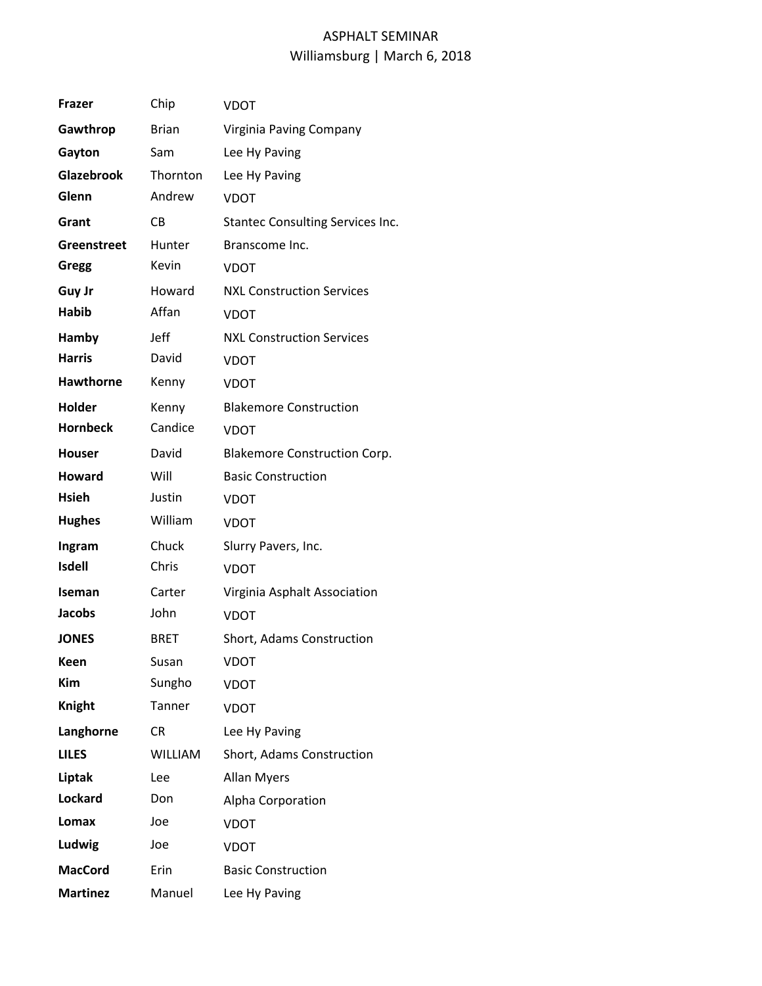| <b>Frazer</b>      | Chip           | VDOT                                    |
|--------------------|----------------|-----------------------------------------|
| Gawthrop           | <b>Brian</b>   | Virginia Paving Company                 |
| Gayton             | Sam            | Lee Hy Paving                           |
| Glazebrook         | Thornton       | Lee Hy Paving                           |
| Glenn              | Andrew         | <b>VDOT</b>                             |
| Grant              | CB             | <b>Stantec Consulting Services Inc.</b> |
| <b>Greenstreet</b> | <b>Hunter</b>  | Branscome Inc.                          |
| Gregg              | Kevin          | VDOT                                    |
| Guy Jr             | Howard         | <b>NXL Construction Services</b>        |
| <b>Habib</b>       | Affan          | <b>VDOT</b>                             |
| <b>Hamby</b>       | Jeff           | <b>NXL Construction Services</b>        |
| <b>Harris</b>      | David          | VDOT                                    |
| <b>Hawthorne</b>   | Kenny          | <b>VDOT</b>                             |
| <b>Holder</b>      | Kenny          | <b>Blakemore Construction</b>           |
| <b>Hornbeck</b>    | Candice        | <b>VDOT</b>                             |
| <b>Houser</b>      | David          | <b>Blakemore Construction Corp.</b>     |
| <b>Howard</b>      | Will           | <b>Basic Construction</b>               |
| <b>Hsieh</b>       | Justin         | <b>VDOT</b>                             |
| <b>Hughes</b>      | William        | <b>VDOT</b>                             |
| Ingram             | Chuck          | Slurry Pavers, Inc.                     |
| <b>Isdell</b>      | Chris          | <b>VDOT</b>                             |
| Iseman             | Carter         | Virginia Asphalt Association            |
| Jacobs             | John           | <b>VDOT</b>                             |
| <b>JONES</b>       | <b>BRET</b>    | Short, Adams Construction               |
| Keen               | Susan          | <b>VDOT</b>                             |
| <b>Kim</b>         | Sungho         | <b>VDOT</b>                             |
| <b>Knight</b>      | Tanner         | <b>VDOT</b>                             |
| Langhorne          | CR.            | Lee Hy Paving                           |
| <b>LILES</b>       | <b>WILLIAM</b> | Short, Adams Construction               |
| Liptak             | Lee            | <b>Allan Myers</b>                      |
| Lockard            | Don            | Alpha Corporation                       |
| Lomax              | Joe            | <b>VDOT</b>                             |
| Ludwig             | Joe            | <b>VDOT</b>                             |
| <b>MacCord</b>     | Erin           | <b>Basic Construction</b>               |
| <b>Martinez</b>    | Manuel         | Lee Hy Paving                           |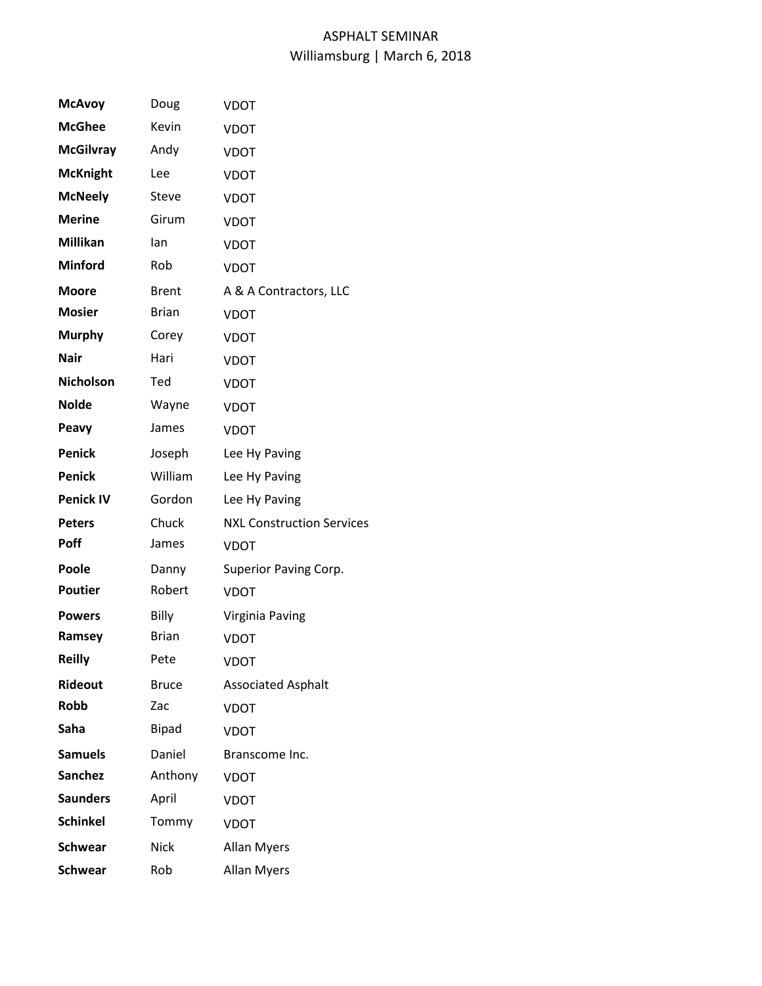| <b>McAvoy</b>    | Doug         | VDOT                             |
|------------------|--------------|----------------------------------|
| <b>McGhee</b>    | Kevin        | <b>VDOT</b>                      |
| <b>McGilvray</b> | Andy         | <b>VDOT</b>                      |
| <b>McKnight</b>  | Lee          | <b>VDOT</b>                      |
| <b>McNeely</b>   | Steve        | <b>VDOT</b>                      |
| <b>Merine</b>    | Girum        | <b>VDOT</b>                      |
| Millikan         | lan          | <b>VDOT</b>                      |
| <b>Minford</b>   | Rob          | <b>VDOT</b>                      |
| <b>Moore</b>     | <b>Brent</b> | A & A Contractors, LLC           |
| <b>Mosier</b>    | <b>Brian</b> | <b>VDOT</b>                      |
| <b>Murphy</b>    | Corey        | <b>VDOT</b>                      |
| <b>Nair</b>      | Hari         | <b>VDOT</b>                      |
| <b>Nicholson</b> | Ted          | <b>VDOT</b>                      |
| <b>Nolde</b>     | Wayne        | <b>VDOT</b>                      |
| Peavy            | James        | <b>VDOT</b>                      |
| <b>Penick</b>    | Joseph       | Lee Hy Paving                    |
| <b>Penick</b>    | William      | Lee Hy Paving                    |
| <b>Penick IV</b> | Gordon       | Lee Hy Paving                    |
| <b>Peters</b>    | Chuck        | <b>NXL Construction Services</b> |
| <b>Poff</b>      | James        | <b>VDOT</b>                      |
| Poole            | Danny        | Superior Paving Corp.            |
| <b>Poutier</b>   | Robert       | <b>VDOT</b>                      |
| <b>Powers</b>    | Billy        | Virginia Paving                  |
| Ramsey           | <b>Brian</b> | <b>VDOT</b>                      |
| <b>Reilly</b>    | Pete         | <b>VDOT</b>                      |
| <b>Rideout</b>   | <b>Bruce</b> | <b>Associated Asphalt</b>        |
| Robb             | Zac          | <b>VDOT</b>                      |
| Saha             | Bipad        | <b>VDOT</b>                      |
| <b>Samuels</b>   | Daniel       | Branscome Inc.                   |
| <b>Sanchez</b>   | Anthony      | <b>VDOT</b>                      |
| <b>Saunders</b>  | April        | <b>VDOT</b>                      |
| <b>Schinkel</b>  | Tommy        | <b>VDOT</b>                      |
| <b>Schwear</b>   | <b>Nick</b>  | <b>Allan Myers</b>               |
| <b>Schwear</b>   | Rob          | <b>Allan Myers</b>               |